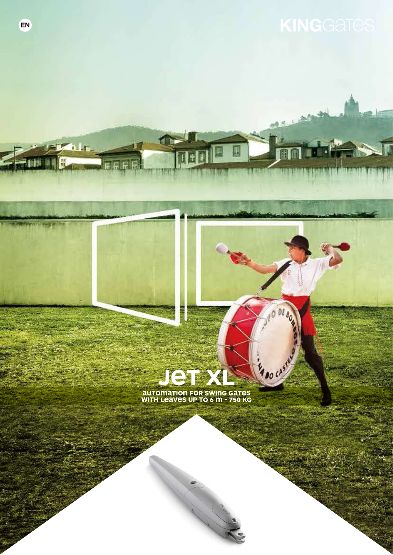DE

Mao cast

**AUTOMATION FOR SWING GATES**<br>WITH LEAVES UP TO 6 M - 750 KG

 $\bullet$ 

**R** In

間

**Lightwith Stript**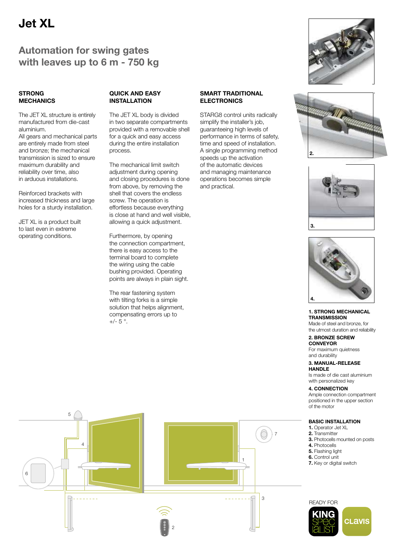# Jet XL

# Automation for swing gates with leaves up to 6 m - 750 kg

## **STRONG MECHANICS**

The JET XL structure is entirely manufactured from die-cast aluminium.

All gears and mechanical parts are entirely made from steel and bronze; the mechanical transmission is sized to ensure maximum durability and reliability over time, also in arduous installations.

Reinforced brackets with increased thickness and large holes for a sturdy installation.

JET XL is a product built to last even in extreme operating conditions.

## QUICK AND EASY INSTALL ATION

The JET XL body is divided in two separate compartments provided with a removable shell for a quick and easy access during the entire installation process.

The mechanical limit switch adjustment during opening and closing procedures is done from above, by removing the shell that covers the endless screw. The operation is effortless because everything is close at hand and well visible, allowing a quick adjustment.

Furthermore, by opening the connection compartment, there is easy access to the terminal board to complete the wiring using the cable bushing provided. Operating points are always in plain sight.

The rear fastening system with tilting forks is a simple solution that helps alignment, compensating errors up to  $+/- 5$  °.

# SMART TRADITIONAL ELECTRONICS

STARG8 control units radically simplify the installer's job. guaranteeing high levels of performance in terms of safety, time and speed of installation. A single programming method speeds up the activation of the automatic devices and managing maintenance operations becomes simple and practical.









### 1. STRONG MECHANICAL **TRANSMISSION**

Made of steel and bronze, for the utmost duration and reliability

### 2. BRONZE SCREW CONVEYOR

For maximum quietness and durability

#### 3. MANUAL-RELEASE **HANDLE**

Is made of die cast aluminium with personalized key

# 4. CONNECTION

Ample connection compartment positioned in the upper section of the motor

# BASIC INSTALLATION

- 1. Operator Jet XL
- 2. Transmitter
- 3. Photocells mounted on posts
- 4. Photocells
- 5. Flashing light
- 6. Control unit
- 7. Key or digital switch





2 1 4 7 6 3 5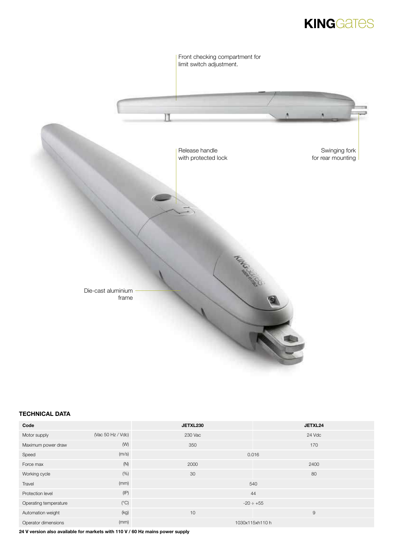# **KINGGATES**



# TECHNICAL DATA

| Code                  |                   | JETXL230       | JETXL24         |  |  |
|-----------------------|-------------------|----------------|-----------------|--|--|
| Motor supply          | (Vac 50 Hz / Vdc) | 230 Vac        | 24 Vdc          |  |  |
| Maximum power draw    | (W)               | 350            | 170             |  |  |
| Speed                 | (m/s)             |                | 0.016           |  |  |
| Force max             | (N)               | 2000           | 2400            |  |  |
| Working cycle         | (% )              | 30             | 80              |  |  |
| Travel                | (mm)              |                | 540             |  |  |
| Protection level      | (IP)              |                | 44              |  |  |
| Operating temperature | $(^{\circ}C)$     | $-20 \div +55$ |                 |  |  |
| Automation weight     | (kg)              | 10             | $\overline{9}$  |  |  |
| Operator dimensions   | (mm)              |                | 1030x115xh110 h |  |  |

24 V version also available for markets with 110 V / 60 Hz mains power supply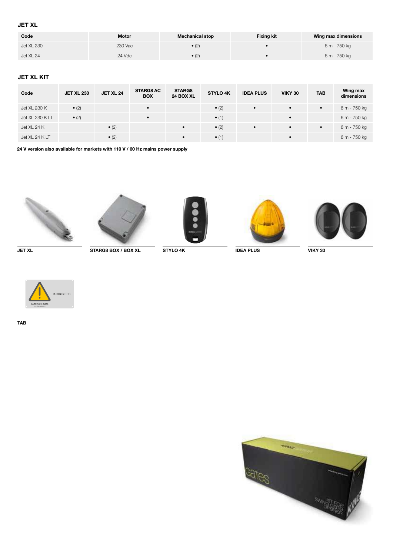# JET XL

| Code       | <b>Motor</b> | <b>Mechanical stop</b> | <b>Fixing kit</b> | Wing max dimensions |
|------------|--------------|------------------------|-------------------|---------------------|
| Jet XL 230 | 230 Vac      | • (2)                  |                   | 6 m - 750 kg        |
| Jet XL 24  | 24 Vdc       | $\bullet$ (2)          |                   | 6 m - 750 kg        |

# JET XL KIT

| Code            | <b>JET XL 230</b> | <b>JET XL 24</b> | <b>STARG8 AC</b><br><b>BOX</b> | <b>STARG8</b><br>24 BOX XL | <b>STYLO 4K</b> | <b>IDEA PLUS</b> | <b>VIKY 30</b> | <b>TAB</b> | Wing max<br>dimensions |
|-----------------|-------------------|------------------|--------------------------------|----------------------------|-----------------|------------------|----------------|------------|------------------------|
| Jet XL 230 K    | $\bullet$ (2)     |                  | $\bullet$                      |                            | $\bullet$ (2)   | $\bullet$        | $\bullet$      | $\bullet$  | 6 m - 750 kg           |
| Jet XL 230 K LT | $\bullet$ (2)     |                  | $\bullet$                      |                            | $\bullet$ (1)   |                  | $\bullet$      |            | 6 m - 750 kg           |
| Jet XL 24 K     |                   | $\bullet$ (2)    |                                | $\bullet$                  | $\bullet$ (2)   | $\bullet$        | $\bullet$      | $\bullet$  | 6 m - 750 kg           |
| Jet XL 24 K LT  |                   | $\bullet$ (2)    |                                | $\bullet$                  | $\bullet$ (1)   |                  | $\bullet$      |            | 6 m - 750 kg           |

24 V version also available for markets with 110 V / 60 Hz mains power supply









JET XL STARG8 BOX / BOX XL STYLO 4K IDEA PLUS VIKY 30





TAB